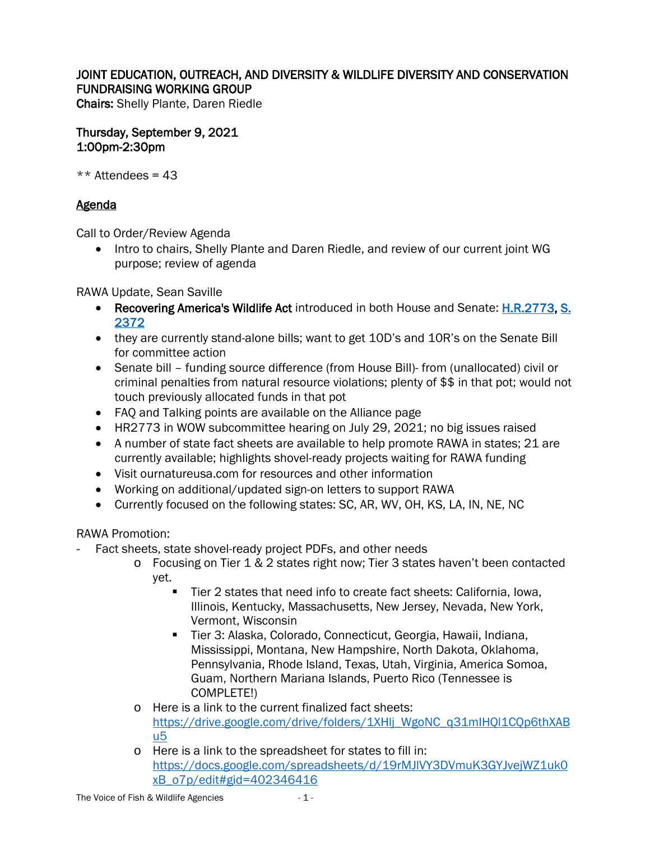## JOINT EDUCATION, OUTREACH, AND DIVERSITY & WILDLIFE DIVERSITY AND CONSERVATION FUNDRAISING WORKING GROUP

Chairs: Shelly Plante, Daren Riedle

Thursday, September 9, 2021 1:00pm-2:30pm

 $**$  Attendees = 43

## **Agenda**

Call to Order/Review Agenda

• Intro to chairs, Shelly Plante and Daren Riedle, and review of our current joint WG purpose; review of agenda

RAWA Update, Sean Saville

- Recovering America's Wildlife Act introduced in both House and Senate: **H.R.2773, S.** [2372](https://www.congress.gov/bill/117th-congress/senate-bill/2372)
- they are currently stand-alone bills; want to get 10D's and 10R's on the Senate Bill for committee action
- Senate bill funding source difference (from House Bill)- from (unallocated) civil or criminal penalties from natural resource violations; plenty of \$\$ in that pot; would not touch previously allocated funds in that pot
- FAQ and Talking points are available on the Alliance page
- HR2773 in WOW subcommittee hearing on July 29, 2021; no big issues raised
- A number of state fact sheets are available to help promote RAWA in states; 21 are currently available; highlights shovel-ready projects waiting for RAWA funding
- Visit ournatureusa.com for resources and other information
- Working on additional/updated sign-on letters to support RAWA
- Currently focused on the following states: SC, AR, WV, OH, KS, LA, IN, NE, NC

RAWA Promotion:

- Fact sheets, state shovel-ready project PDFs, and other needs
	- o Focusing on Tier 1 & 2 states right now; Tier 3 states haven't been contacted yet.
		- Tier 2 states that need info to create fact sheets: California, Iowa, Illinois, Kentucky, Massachusetts, New Jersey, Nevada, New York, Vermont, Wisconsin
		- Tier 3: Alaska, Colorado, Connecticut, Georgia, Hawaii, Indiana, Mississippi, Montana, New Hampshire, North Dakota, Oklahoma, Pennsylvania, Rhode Island, Texas, Utah, Virginia, America Somoa, Guam, Northern Mariana Islands, Puerto Rico (Tennessee is COMPLETE!)
	- o Here is a link to the current finalized fact sheets: [https://drive.google.com/drive/folders/1XHlj\\_WgoNC\\_q31mIHQl1CQp6thXAB](https://drive.google.com/drive/folders/1XHlj_WgoNC_q31mIHQl1CQp6thXABu5) [u5](https://drive.google.com/drive/folders/1XHlj_WgoNC_q31mIHQl1CQp6thXABu5)
	- o Here is a link to the spreadsheet for states to fill in: [https://docs.google.com/spreadsheets/d/19rMJlVY3DVmuK3GYJvejWZ1uk0](https://docs.google.com/spreadsheets/d/19rMJlVY3DVmuK3GYJvejWZ1uk0xB_o7p/edit#gid=402346416) [xB\\_o7p/edit#gid=402346416](https://docs.google.com/spreadsheets/d/19rMJlVY3DVmuK3GYJvejWZ1uk0xB_o7p/edit#gid=402346416)